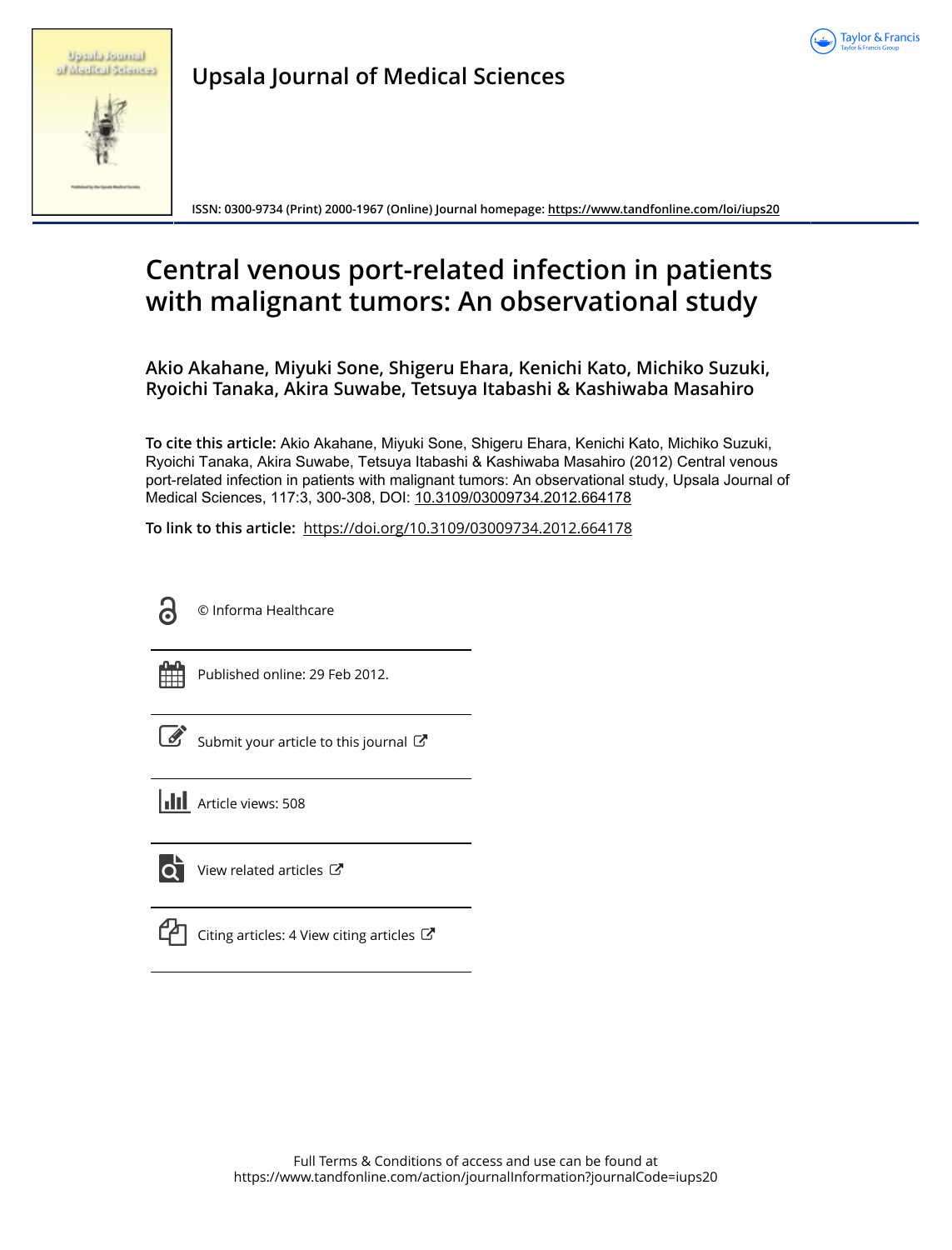

|  | <b>Uppublicational</b> |                     |
|--|------------------------|---------------------|
|  |                        | of Madical Sciences |

**Upsala Journal of Medical Sciences**

**ISSN: 0300-9734 (Print) 2000-1967 (Online) Journal homepage:<https://www.tandfonline.com/loi/iups20>**

# **Central venous port-related infection in patients with malignant tumors: An observational study**

**Akio Akahane, Miyuki Sone, Shigeru Ehara, Kenichi Kato, Michiko Suzuki, Ryoichi Tanaka, Akira Suwabe, Tetsuya Itabashi & Kashiwaba Masahiro**

**To cite this article:** Akio Akahane, Miyuki Sone, Shigeru Ehara, Kenichi Kato, Michiko Suzuki, Ryoichi Tanaka, Akira Suwabe, Tetsuya Itabashi & Kashiwaba Masahiro (2012) Central venous port-related infection in patients with malignant tumors: An observational study, Upsala Journal of Medical Sciences, 117:3, 300-308, DOI: [10.3109/03009734.2012.664178](https://www.tandfonline.com/action/showCitFormats?doi=10.3109/03009734.2012.664178)

**To link to this article:** <https://doi.org/10.3109/03009734.2012.664178>



© Informa Healthcare



Published online: 29 Feb 2012.

|  | Submit your article to this journal $\mathbb{Z}$ |  |
|--|--------------------------------------------------|--|
|  |                                                  |  |

**III** Article views: 508



[View related articles](https://www.tandfonline.com/doi/mlt/10.3109/03009734.2012.664178) C

| <b>Service Service</b> |
|------------------------|
| I                      |
|                        |

[Citing articles: 4 View citing articles](https://www.tandfonline.com/doi/citedby/10.3109/03009734.2012.664178#tabModule)  $\mathbb{Z}$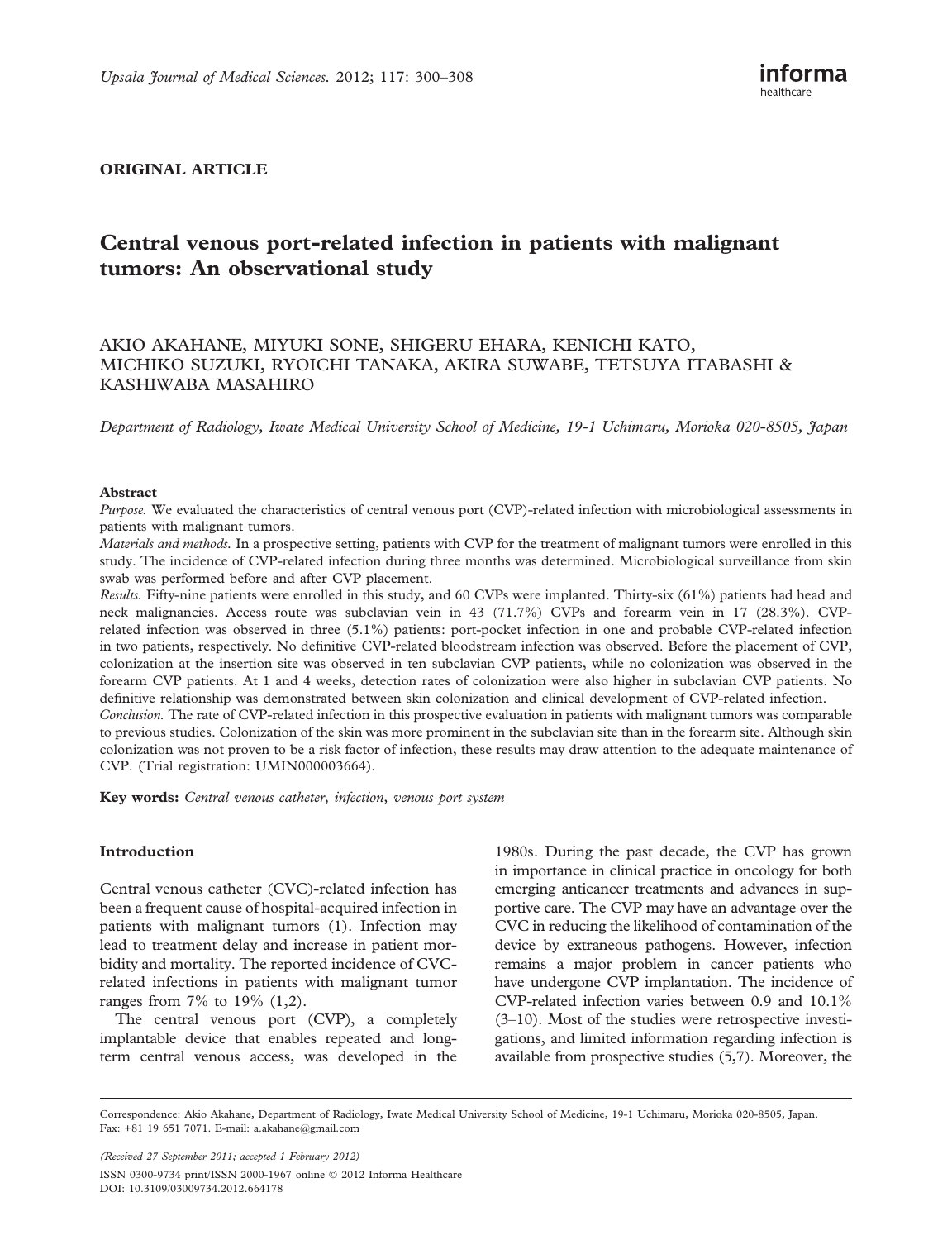# ORIGINAL ARTICLE

# Central venous port-related infection in patients with malignant tumors: An observational study

# AKIO AKAHANE, MIYUKI SONE, SHIGERU EHARA, KENICHI KATO, MICHIKO SUZUKI, RYOICHI TANAKA, AKIRA SUWABE, TETSUYA ITABASHI & KASHIWABA MASAHIRO

Department of Radiology, Iwate Medical University School of Medicine, 19-1 Uchimaru, Morioka 020-8505, Japan

#### Abstract

Purpose. We evaluated the characteristics of central venous port (CVP)-related infection with microbiological assessments in patients with malignant tumors.

Materials and methods. In a prospective setting, patients with CVP for the treatment of malignant tumors were enrolled in this study. The incidence of CVP-related infection during three months was determined. Microbiological surveillance from skin swab was performed before and after CVP placement.

Results. Fifty-nine patients were enrolled in this study, and 60 CVPs were implanted. Thirty-six (61%) patients had head and neck malignancies. Access route was subclavian vein in 43 (71.7%) CVPs and forearm vein in 17 (28.3%). CVPrelated infection was observed in three (5.1%) patients: port-pocket infection in one and probable CVP-related infection in two patients, respectively. No definitive CVP-related bloodstream infection was observed. Before the placement of CVP, colonization at the insertion site was observed in ten subclavian CVP patients, while no colonization was observed in the forearm CVP patients. At 1 and 4 weeks, detection rates of colonization were also higher in subclavian CVP patients. No definitive relationship was demonstrated between skin colonization and clinical development of CVP-related infection. Conclusion. The rate of CVP-related infection in this prospective evaluation in patients with malignant tumors was comparable to previous studies. Colonization of the skin was more prominent in the subclavian site than in the forearm site. Although skin colonization was not proven to be a risk factor of infection, these results may draw attention to the adequate maintenance of CVP. (Trial registration: UMIN000003664).

Key words: Central venous catheter, infection, venous port system

# Introduction

Central venous catheter (CVC)-related infection has been a frequent cause of hospital-acquired infection in patients with malignant tumors (1). Infection may lead to treatment delay and increase in patient morbidity and mortality. The reported incidence of CVCrelated infections in patients with malignant tumor ranges from 7% to 19% (1,2).

The central venous port (CVP), a completely implantable device that enables repeated and longterm central venous access, was developed in the

1980s. During the past decade, the CVP has grown in importance in clinical practice in oncology for both emerging anticancer treatments and advances in supportive care. The CVP may have an advantage over the CVC in reducing the likelihood of contamination of the device by extraneous pathogens. However, infection remains a major problem in cancer patients who have undergone CVP implantation. The incidence of CVP-related infection varies between 0.9 and 10.1% (3–10). Most of the studies were retrospective investigations, and limited information regarding infection is available from prospective studies (5,7). Moreover, the

(Received 27 September 2011; accepted 1 February 2012) ISSN 0300-9734 print/ISSN 2000-1967 online 2012 Informa Healthcare DOI: 10.3109/03009734.2012.664178

Correspondence: Akio Akahane, Department of Radiology, Iwate Medical University School of Medicine, 19-1 Uchimaru, Morioka 020-8505, Japan. Fax: +81 19 651 7071. E-mail: a.akahane@gmail.com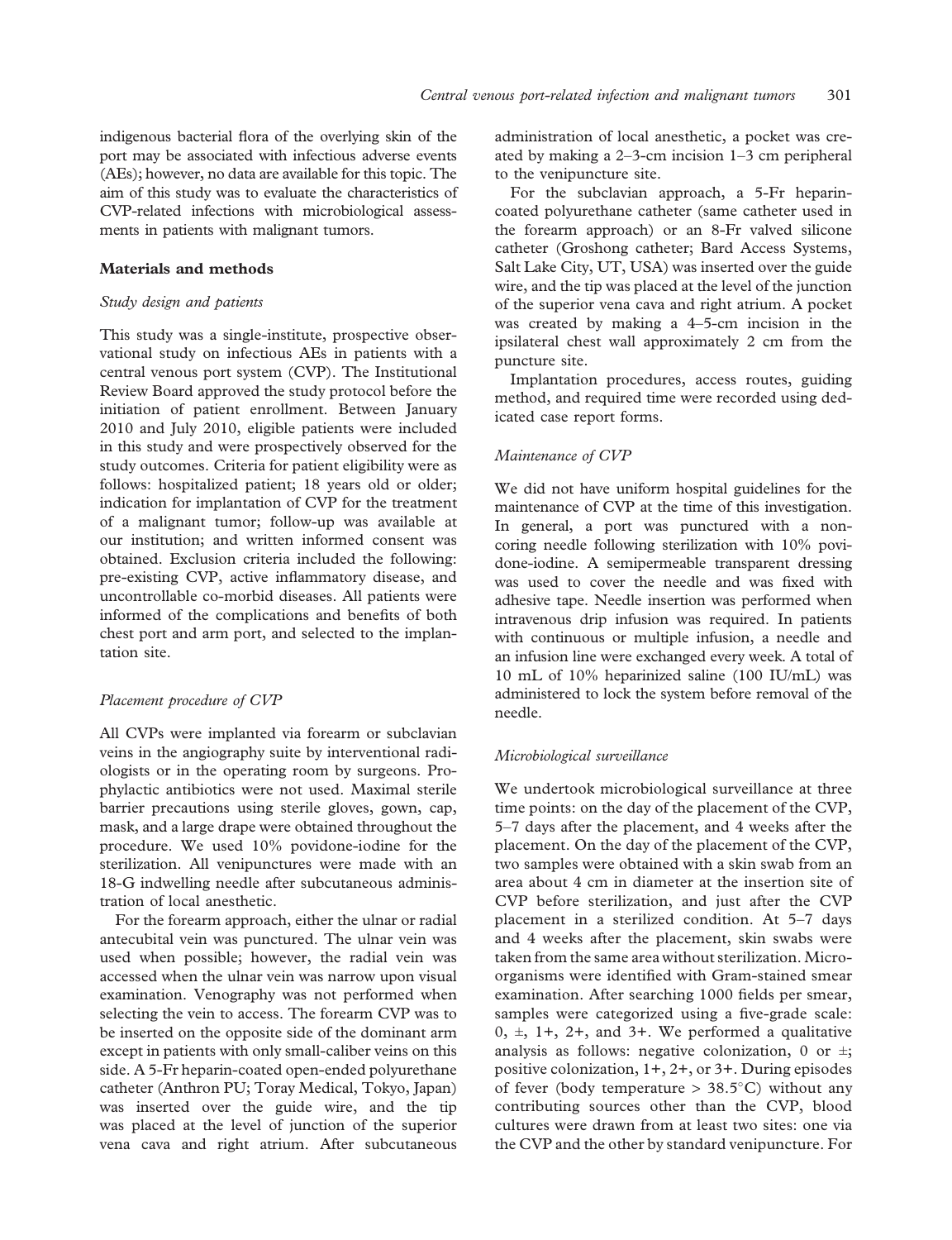indigenous bacterial flora of the overlying skin of the port may be associated with infectious adverse events (AEs); however, no data are available for this topic. The aim of this study was to evaluate the characteristics of CVP-related infections with microbiological assessments in patients with malignant tumors.

# Materials and methods

# Study design and patients

This study was a single-institute, prospective observational study on infectious AEs in patients with a central venous port system (CVP). The Institutional Review Board approved the study protocol before the initiation of patient enrollment. Between January 2010 and July 2010, eligible patients were included in this study and were prospectively observed for the study outcomes. Criteria for patient eligibility were as follows: hospitalized patient; 18 years old or older; indication for implantation of CVP for the treatment of a malignant tumor; follow-up was available at our institution; and written informed consent was obtained. Exclusion criteria included the following: pre-existing CVP, active inflammatory disease, and uncontrollable co-morbid diseases. All patients were informed of the complications and benefits of both chest port and arm port, and selected to the implantation site.

#### Placement procedure of CVP

All CVPs were implanted via forearm or subclavian veins in the angiography suite by interventional radiologists or in the operating room by surgeons. Prophylactic antibiotics were not used. Maximal sterile barrier precautions using sterile gloves, gown, cap, mask, and a large drape were obtained throughout the procedure. We used 10% povidone-iodine for the sterilization. All venipunctures were made with an 18-G indwelling needle after subcutaneous administration of local anesthetic.

For the forearm approach, either the ulnar or radial antecubital vein was punctured. The ulnar vein was used when possible; however, the radial vein was accessed when the ulnar vein was narrow upon visual examination. Venography was not performed when selecting the vein to access. The forearm CVP was to be inserted on the opposite side of the dominant arm except in patients with only small-caliber veins on this side. A 5-Fr heparin-coated open-ended polyurethane catheter (Anthron PU; Toray Medical, Tokyo, Japan) was inserted over the guide wire, and the tip was placed at the level of junction of the superior vena cava and right atrium. After subcutaneous

administration of local anesthetic, a pocket was created by making a 2–3-cm incision 1–3 cm peripheral to the venipuncture site.

For the subclavian approach, a 5-Fr heparincoated polyurethane catheter (same catheter used in the forearm approach) or an 8-Fr valved silicone catheter (Groshong catheter; Bard Access Systems, Salt Lake City, UT, USA) was inserted over the guide wire, and the tip was placed at the level of the junction of the superior vena cava and right atrium. A pocket was created by making a 4–5-cm incision in the ipsilateral chest wall approximately 2 cm from the puncture site.

Implantation procedures, access routes, guiding method, and required time were recorded using dedicated case report forms.

# Maintenance of CVP

We did not have uniform hospital guidelines for the maintenance of CVP at the time of this investigation. In general, a port was punctured with a noncoring needle following sterilization with 10% povidone-iodine. A semipermeable transparent dressing was used to cover the needle and was fixed with adhesive tape. Needle insertion was performed when intravenous drip infusion was required. In patients with continuous or multiple infusion, a needle and an infusion line were exchanged every week. A total of 10 mL of 10% heparinized saline (100 IU/mL) was administered to lock the system before removal of the needle.

#### Microbiological surveillance

We undertook microbiological surveillance at three time points: on the day of the placement of the CVP, 5–7 days after the placement, and 4 weeks after the placement. On the day of the placement of the CVP, two samples were obtained with a skin swab from an area about 4 cm in diameter at the insertion site of CVP before sterilization, and just after the CVP placement in a sterilized condition. At 5–7 days and 4 weeks after the placement, skin swabs were taken from the same area without sterilization. Microorganisms were identified with Gram-stained smear examination. After searching 1000 fields per smear, samples were categorized using a five-grade scale:  $0, \pm, 1+, 2+,$  and  $3+$ . We performed a qualitative analysis as follows: negative colonization, 0 or  $\pm$ ; positive colonization, 1+, 2+, or 3+. During episodes of fever (body temperature  $> 38.5^{\circ}$ C) without any contributing sources other than the CVP, blood cultures were drawn from at least two sites: one via the CVP and the other by standard venipuncture. For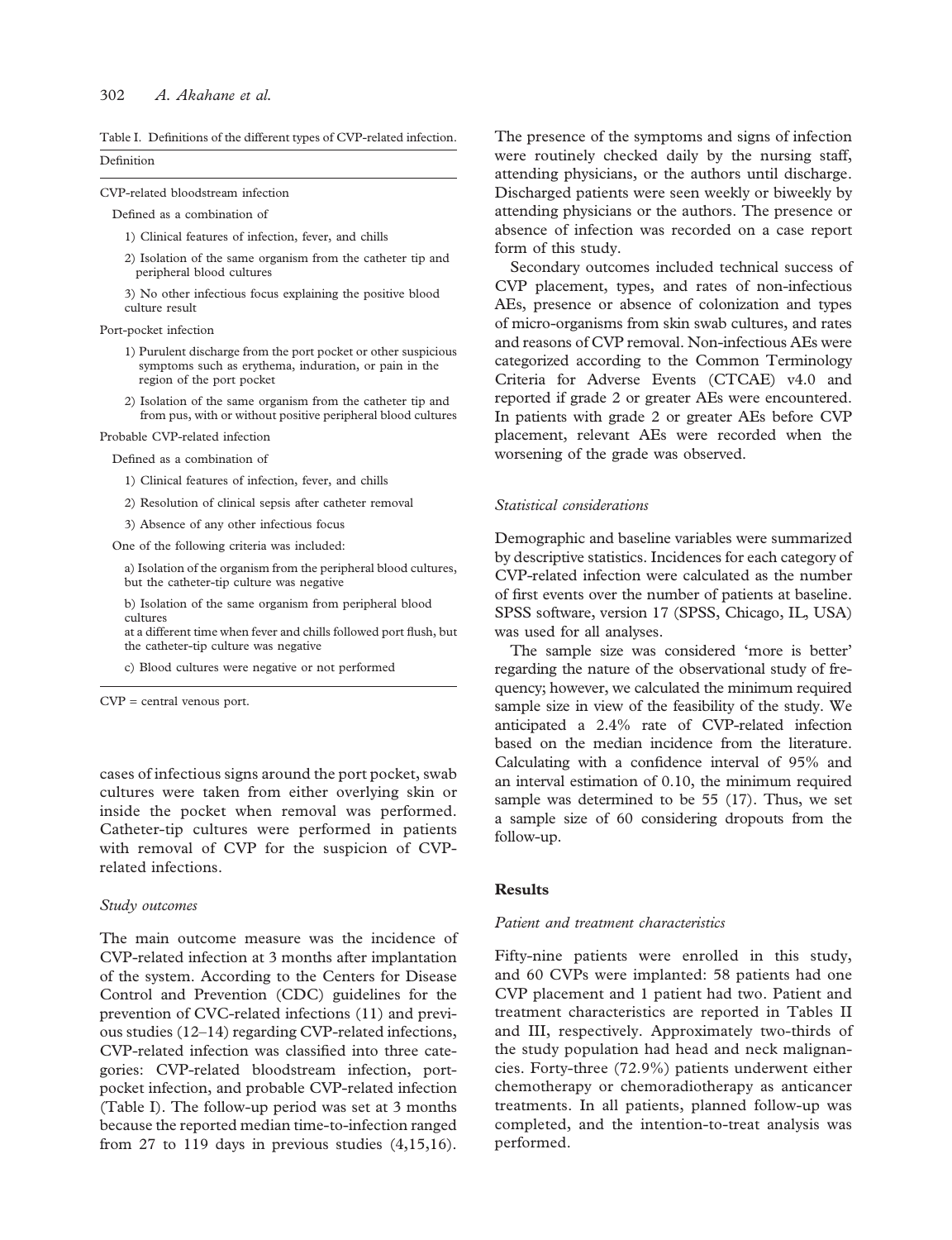#### 302 A. Akahane et al.

Table I. Definitions of the different types of CVP-related infection. Definition

CVP-related bloodstream infection

Defined as a combination of

- 1) Clinical features of infection, fever, and chills
- 2) Isolation of the same organism from the catheter tip and peripheral blood cultures

3) No other infectious focus explaining the positive blood culture result

Port-pocket infection

- 1) Purulent discharge from the port pocket or other suspicious symptoms such as erythema, induration, or pain in the region of the port pocket
- 2) Isolation of the same organism from the catheter tip and from pus, with or without positive peripheral blood cultures

Probable CVP-related infection

- Defined as a combination of
	- 1) Clinical features of infection, fever, and chills
	- 2) Resolution of clinical sepsis after catheter removal
	- 3) Absence of any other infectious focus

One of the following criteria was included:

a) Isolation of the organism from the peripheral blood cultures, but the catheter-tip culture was negative

b) Isolation of the same organism from peripheral blood cultures

at a different time when fever and chills followed port flush, but the catheter-tip culture was negative

c) Blood cultures were negative or not performed

CVP = central venous port.

cases of infectious signs around the port pocket, swab cultures were taken from either overlying skin or inside the pocket when removal was performed. Catheter-tip cultures were performed in patients with removal of CVP for the suspicion of CVPrelated infections.

### Study outcomes

The main outcome measure was the incidence of CVP-related infection at 3 months after implantation of the system. According to the Centers for Disease Control and Prevention (CDC) guidelines for the prevention of CVC-related infections (11) and previous studies (12–14) regarding CVP-related infections, CVP-related infection was classified into three categories: CVP-related bloodstream infection, portpocket infection, and probable CVP-related infection (Table I). The follow-up period was set at 3 months because the reported median time-to-infection ranged from 27 to 119 days in previous studies  $(4,15,16)$ .

The presence of the symptoms and signs of infection were routinely checked daily by the nursing staff, attending physicians, or the authors until discharge. Discharged patients were seen weekly or biweekly by attending physicians or the authors. The presence or absence of infection was recorded on a case report form of this study.

Secondary outcomes included technical success of CVP placement, types, and rates of non-infectious AEs, presence or absence of colonization and types of micro-organisms from skin swab cultures, and rates and reasons of CVP removal. Non-infectious AEs were categorized according to the Common Terminology Criteria for Adverse Events (CTCAE) v4.0 and reported if grade 2 or greater AEs were encountered. In patients with grade 2 or greater AEs before CVP placement, relevant AEs were recorded when the worsening of the grade was observed.

#### Statistical considerations

Demographic and baseline variables were summarized by descriptive statistics. Incidences for each category of CVP-related infection were calculated as the number of first events over the number of patients at baseline. SPSS software, version 17 (SPSS, Chicago, IL, USA) was used for all analyses.

The sample size was considered 'more is better' regarding the nature of the observational study of frequency; however, we calculated the minimum required sample size in view of the feasibility of the study. We anticipated a 2.4% rate of CVP-related infection based on the median incidence from the literature. Calculating with a confidence interval of 95% and an interval estimation of 0.10, the minimum required sample was determined to be 55 (17). Thus, we set a sample size of 60 considering dropouts from the follow-up.

#### **Results**

#### Patient and treatment characteristics

Fifty-nine patients were enrolled in this study, and 60 CVPs were implanted: 58 patients had one CVP placement and 1 patient had two. Patient and treatment characteristics are reported in Tables II and III, respectively. Approximately two-thirds of the study population had head and neck malignancies. Forty-three (72.9%) patients underwent either chemotherapy or chemoradiotherapy as anticancer treatments. In all patients, planned follow-up was completed, and the intention-to-treat analysis was performed.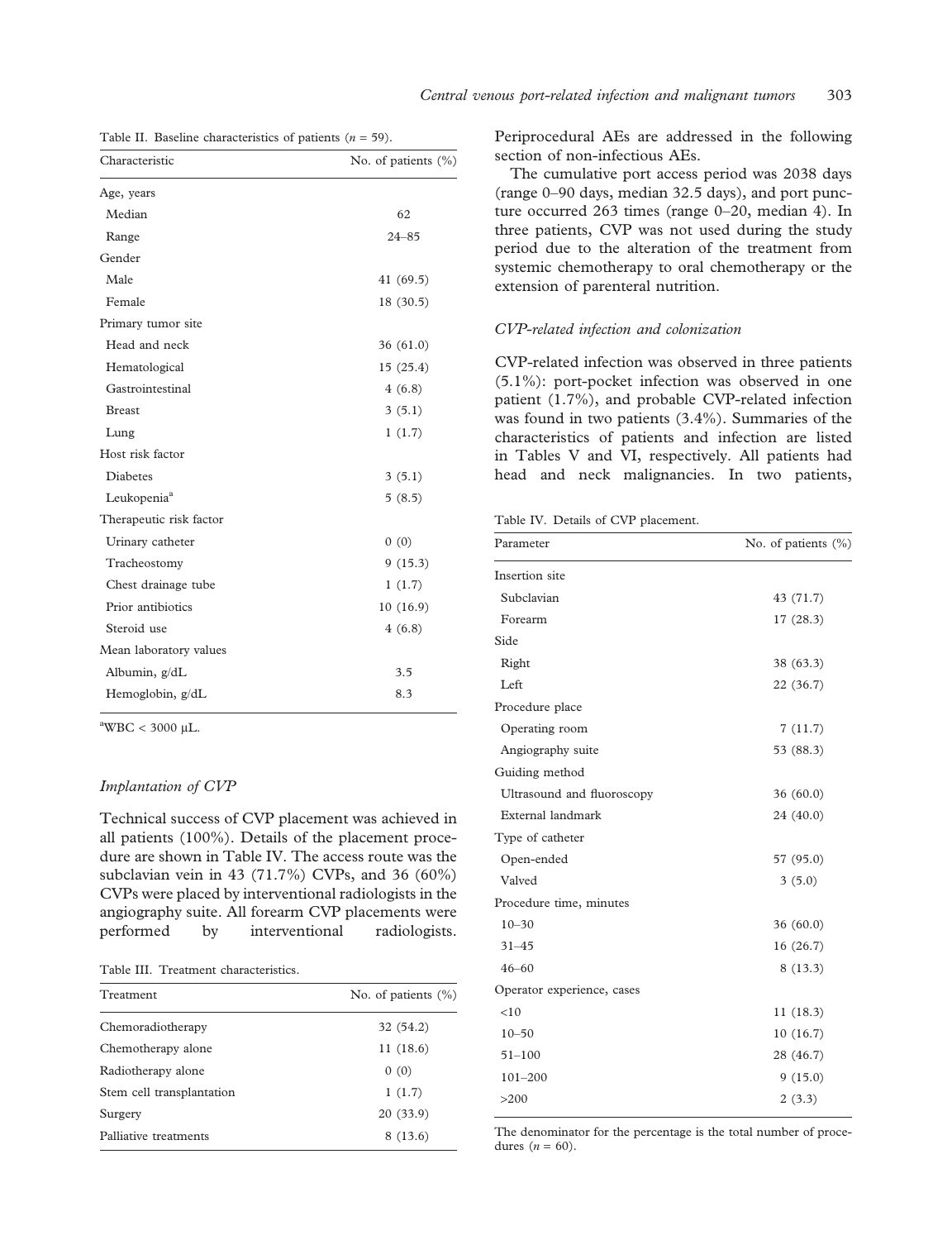| Characteristic          | No. of patients (%) |
|-------------------------|---------------------|
| Age, years              |                     |
| Median                  | 62                  |
| Range                   | $24 - 85$           |
| Gender                  |                     |
| Male                    | 41 (69.5)           |
| Female                  | 18 (30.5)           |
| Primary tumor site      |                     |
| Head and neck           | 36(61.0)            |
| Hematological           | 15(25.4)            |
| Gastrointestinal        | 4(6.8)              |
| <b>Breast</b>           | 3(5.1)              |
| Lung                    | 1(1.7)              |
| Host risk factor        |                     |
| <b>Diabetes</b>         | 3(5.1)              |
| Leukopenia <sup>a</sup> | 5(8.5)              |
| Therapeutic risk factor |                     |
| Urinary catheter        | 0(0)                |
| Tracheostomy            | 9(15.3)             |
| Chest drainage tube     | 1(1.7)              |
| Prior antibiotics       | 10 (16.9)           |
| Steroid use             | 4(6.8)              |
| Mean laboratory values  |                     |
| Albumin, g/dL           | 3.5                 |
| Hemoglobin, g/dL        | 8.3                 |

|  |  | Table II. Baseline characteristics of patients $(n = 59)$ . |  |  |
|--|--|-------------------------------------------------------------|--|--|
|--|--|-------------------------------------------------------------|--|--|

 $\mathrm{^{a}WBC}$  < 3000 µL.

# Implantation of CVP

Technical success of CVP placement was achieved in all patients (100%). Details of the placement procedure are shown in Table IV. The access route was the subclavian vein in 43 (71.7%) CVPs, and 36 (60%) CVPs were placed by interventional radiologists in the angiography suite. All forearm CVP placements were performed by interventional radiologists.

#### Table III. Treatment characteristics.

| Treatment                 | No. of patients $(\% )$ |
|---------------------------|-------------------------|
| Chemoradiotherapy         | 32 (54.2)               |
| Chemotherapy alone        | 11(18.6)                |
| Radiotherapy alone        | 0(0)                    |
| Stem cell transplantation | 1(1.7)                  |
| Surgery                   | 20(33.9)                |
| Palliative treatments     | 8(13.6)                 |

Periprocedural AEs are addressed in the following section of non-infectious AEs.

The cumulative port access period was 2038 days (range 0–90 days, median 32.5 days), and port puncture occurred 263 times (range 0–20, median 4). In three patients, CVP was not used during the study period due to the alteration of the treatment from systemic chemotherapy to oral chemotherapy or the extension of parenteral nutrition.

#### CVP-related infection and colonization

CVP-related infection was observed in three patients (5.1%): port-pocket infection was observed in one patient (1.7%), and probable CVP-related infection was found in two patients (3.4%). Summaries of the characteristics of patients and infection are listed in Tables V and VI, respectively. All patients had head and neck malignancies. In two patients,

|  |  |  |  |  | Table IV. Details of CVP placement. |
|--|--|--|--|--|-------------------------------------|
|--|--|--|--|--|-------------------------------------|

| Parameter                  | No. of patients (%) |
|----------------------------|---------------------|
| Insertion site             |                     |
| Subclavian                 | 43 (71.7)           |
| Forearm                    | 17(28.3)            |
| Side                       |                     |
| Right                      | 38 (63.3)           |
| Left                       | 22(36.7)            |
| Procedure place            |                     |
| Operating room             | 7(11.7)             |
| Angiography suite          | 53 (88.3)           |
| Guiding method             |                     |
| Ultrasound and fluoroscopy | 36(60.0)            |
| External landmark          | 24 (40.0)           |
| Type of catheter           |                     |
| Open-ended                 | 57 (95.0)           |
| Valved                     | 3(5.0)              |
| Procedure time, minutes    |                     |
| $10 - 30$                  | 36(60.0)            |
| $31 - 45$                  | 16(26.7)            |
| $46 - 60$                  | 8(13.3)             |
| Operator experience, cases |                     |
| < 10                       | 11(18.3)            |
| $10 - 50$                  | 10(16.7)            |
| $51 - 100$                 | 28 (46.7)           |
| $101 - 200$                | 9(15.0)             |
| >200                       | 2(3.3)              |

The denominator for the percentage is the total number of procedures  $(n = 60)$ .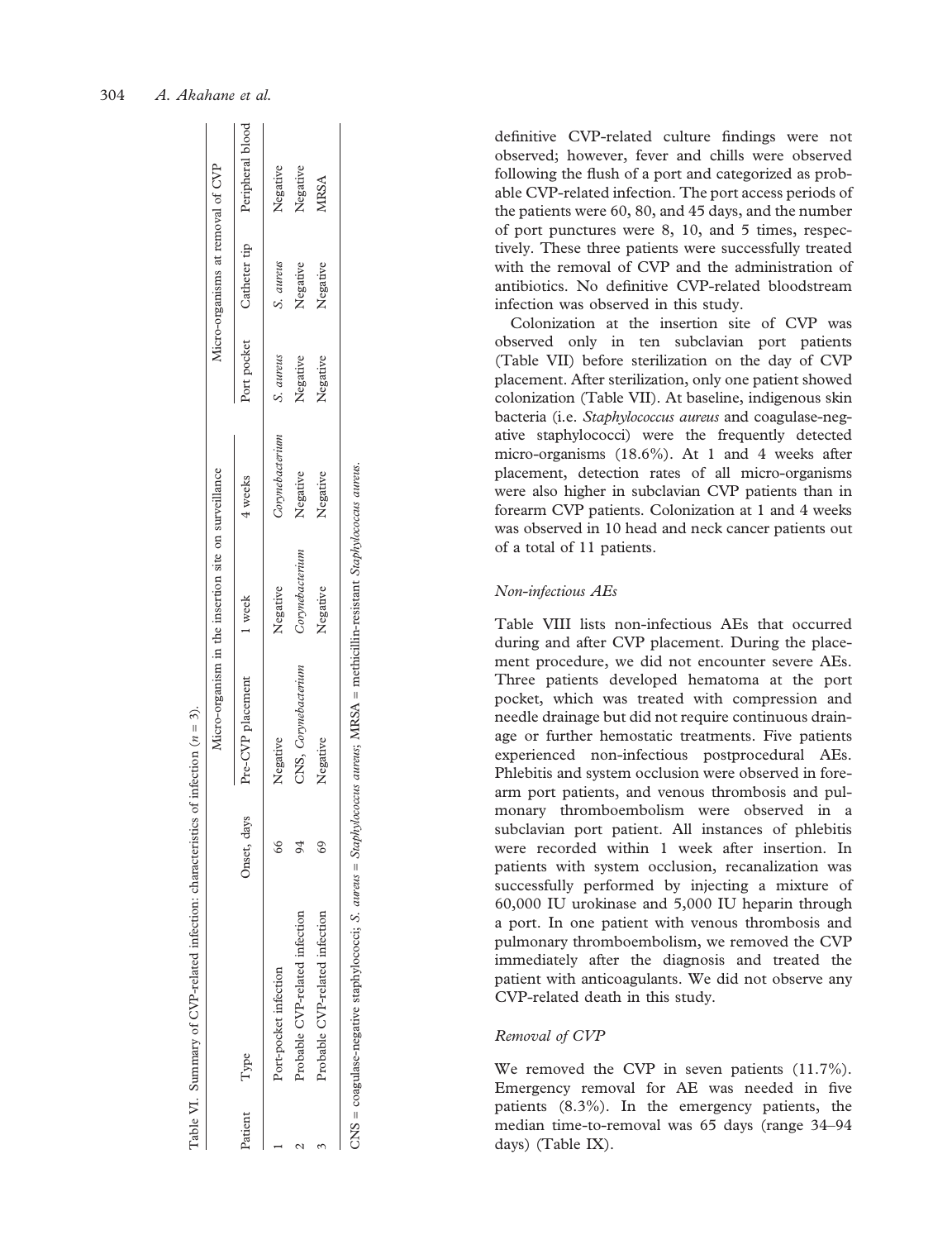|         |                                                                                                                                         |             |                      | Micro-organism in the insertion site on surveillance |                 |           | Micro-organisms at removal of CVP |                                           |
|---------|-----------------------------------------------------------------------------------------------------------------------------------------|-------------|----------------------|------------------------------------------------------|-----------------|-----------|-----------------------------------|-------------------------------------------|
| Patient | Type                                                                                                                                    | Onset, days | Pre-CVP placement    | 1 week                                               | 4 weeks         |           |                                   | Port pocket Catheter tip Peripheral blood |
|         | Port-pocket infection                                                                                                                   |             | Negative             | Negative                                             | Corynebacterium | S. aureus | S. aureus                         | Negative                                  |
|         | Probable CVP-related infection                                                                                                          |             | CNS, Corynebacterium | Corynebacterium                                      | Negative        | Negative  | Negative                          | Negative                                  |
|         | Probable CVP-related infection                                                                                                          |             | Negative             | Negative                                             | Negative        | Negative  | Negative                          | MRSA                                      |
|         | $CNS = \text{coagulase-negative}$ staphylococci; S. aureus = Staphylococcus aureus; MRSA = methicillin-resistant Staphylococcus aureus. |             |                      |                                                      |                 |           |                                   |                                           |

CNS = coagulase-negative staphylococci; S. aureus = Staphylococcus aureus; MRSA = methicillin-resistant Staphylococcus aureus.

Table VI. Summary of CVP-related infection: characteristics of infection (

Table VI.

 $n = 3$ .

de finitive CVP-related culture findings were not observed; however, fever and chills were observed following the flush of a port and categorized as probable CVP-related infection. The port access periods of the patients were 60, 80, and 45 days, and the number of port punctures were 8, 10, and 5 times, respectively. These three patients were successfully treated with the removal of CVP and the administration of antibiotics. No de finitive CVP-related bloodstream infection was observed in this study.

Colonization at the insertion site of CVP was observed only in ten subclavian port patients (Table VII) before sterilization on the day of CVP placement. After sterilization, only one patient showed colonization (Table VII). At baseline, indigenous skin bacteria (i.e. Staphylococcus aureus and coagulase-negative staphylococci) were the frequently detected micro-organisms (18.6%). At 1 and 4 weeks after placement, detection rates of all micro-organisms were also higher in subclavian CVP patients than in forearm CVP patients. Colonization at 1 and 4 weeks was observed in 10 head and neck cancer patients out of a total of 11 patients.

# Non-infectious AEs

Table VIII lists non-infectious AEs that occurred during and after CVP placement. During the placement procedure, we did not encounter severe AEs. Three patients developed hematoma at the port pocket, which was treated with compression and needle drainage but did not require continuous drainage or further hemostatic treatments. Five patients experienced non-infectious postprocedural AEs. Phlebitis and system occlusion were observed in forearm port patients, and venous thrombosis and pulmonary thromboembolism were observed in a subclavian port patient. All instances of phlebitis were recorded within 1 week after insertion. In patients with system occlusion, recanalization was successfully performed by injecting a mixture of 60,000 IU urokinase and 5,000 IU heparin through a port. In one patient with venous thrombosis and pulmonary thromboembolism, we removed the CVP immediately after the diagnosis and treated the patient with anticoagulants. We did not observe any CVP-related death in this study.

# Removal of CVP

We removed the CVP in seven patients  $(11.7\%)$ . Emergency removal for AE was needed in five patients (8.3%). In the emergency patients, the median time-to-removal was 65 days (range 34 –94 days) (Table IX).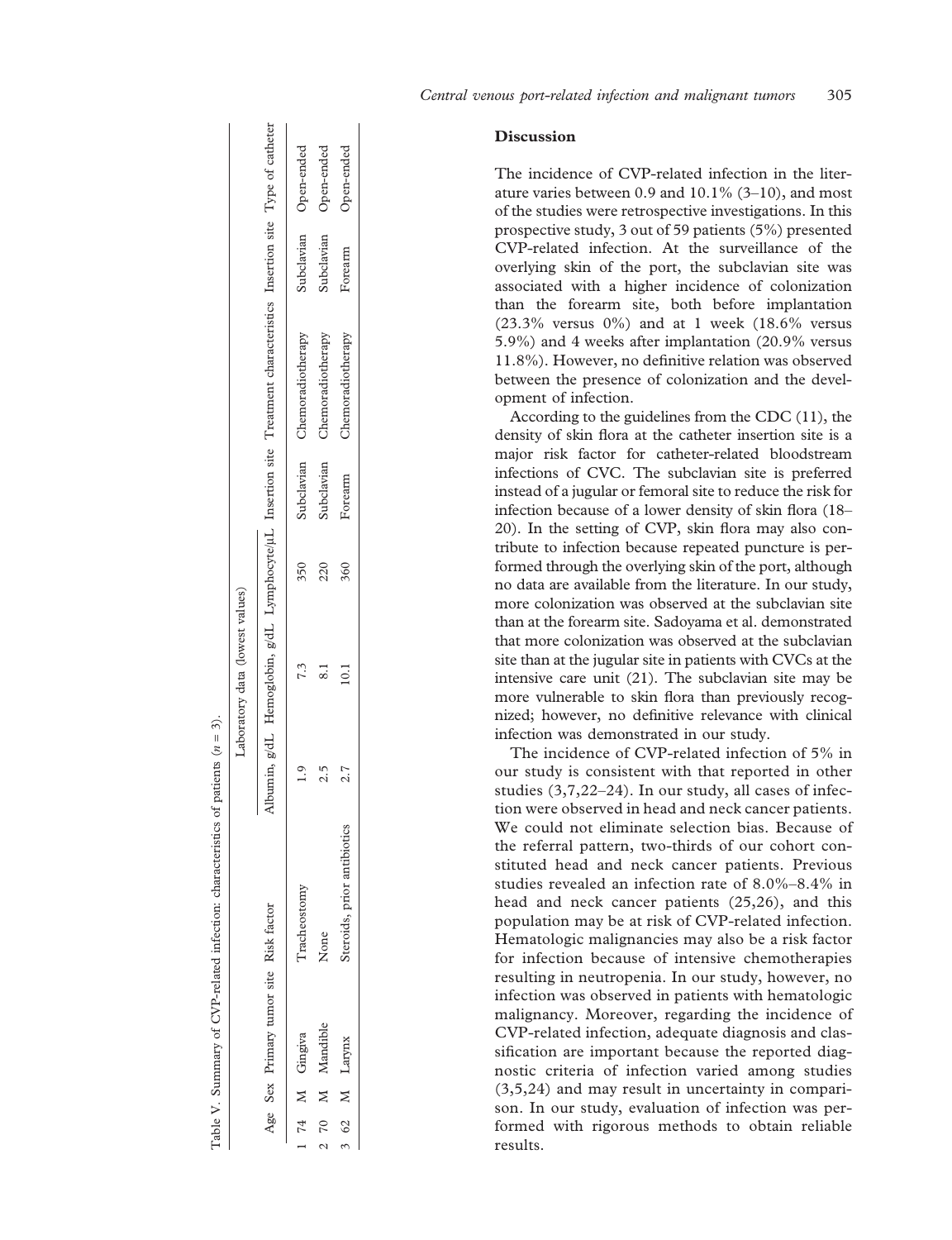|       |                                        |                             | Laboratory data (lowest values) |     |            |                                                                                                                       |                       |            |
|-------|----------------------------------------|-----------------------------|---------------------------------|-----|------------|-----------------------------------------------------------------------------------------------------------------------|-----------------------|------------|
|       | Age Sex Primary tumor site Risk factor |                             |                                 |     |            | Albumin, g/dL Hemoglobin, g/dL Lymphocyte/µL Insertion site Treatment characteristics Insertion site Type of catheter |                       |            |
|       | 14 M Gingiva                           | Tracheostomy                | 7.3                             | 350 |            | Subclavian Chemoradiotherapy                                                                                          | Subclavian Open-ended |            |
| 270 M | Mandible                               | None                        |                                 | 220 | Subclavian | Chemoradiotherapy                                                                                                     | Subclavian            | Open-ended |
|       | 3 62 M Larynx                          | Steroids, prior antibiotics | 10.1                            | 360 | Forearm    | Chemoradiotherapy                                                                                                     | Forearm               | Open-ended |

# **Discussion**

The incidence of CVP-related infection in the literature varies between  $0.9$  and  $10.1\%$  (3–10), and most of the studies were retrospective investigations. In this prospective study, 3 out of 59 patients (5%) presented CVP-related infection. At the surveillance of the overlying skin of the port, the subclavian site was associated with a higher incidence of colonization than the forearm site, both before implantation (23.3% versus 0%) and at 1 week (18.6% versus 5.9%) and 4 weeks after implantation (20.9% versus 11.8%). However, no de finitive relation was observed between the presence of colonization and the development of infection.

According to the guidelines from the CDC (11), the density of skin flora at the catheter insertion site is a major risk factor for catheter-related bloodstream infections of CVC. The subclavian site is preferred instead of a jugular or femoral site to reduce the risk for infection because of a lower density of skin flora (18 – 20). In the setting of CVP, skin flora may also contribute to infection because repeated puncture is performed through the overlying skin of the port, although no data are available from the literature. In our study, more colonization was observed at the subclavian site than at the forearm site. Sadoyama et al. demonstrated that more colonization was observed at the subclavian site than at the jugular site in patients with CVCs at the intensive care unit (21). The subclavian site may be more vulnerable to skin flora than previously recognized; however, no definitive relevance with clinical infection was demonstrated in our study.

The incidence of CVP-related infection of 5% in our study is consistent with that reported in other studies (3,7,22 –24). In our study, all cases of infection were observed in head and neck cancer patients. We could not eliminate selection bias. Because of the referral pattern, two-thirds of our cohort constituted head and neck cancer patients. Previous studies revealed an infection rate of 8.0% –8.4% in head and neck cancer patients (25,26), and this population may be at risk of CVP-related infection. Hematologic malignancies may also be a risk factor for infection because of intensive chemotherapies resulting in neutropenia. In our study, however, no infection was observed in patients with hematologic malignancy. Moreover, regarding the incidence of CVP-related infection, adequate diagnosis and classification are important because the reported diagnostic criteria of infection varied among studies (3,5,24) and may result in uncertainty in comparison. In our study, evaluation of infection was performed with rigorous methods to obtain reliable results.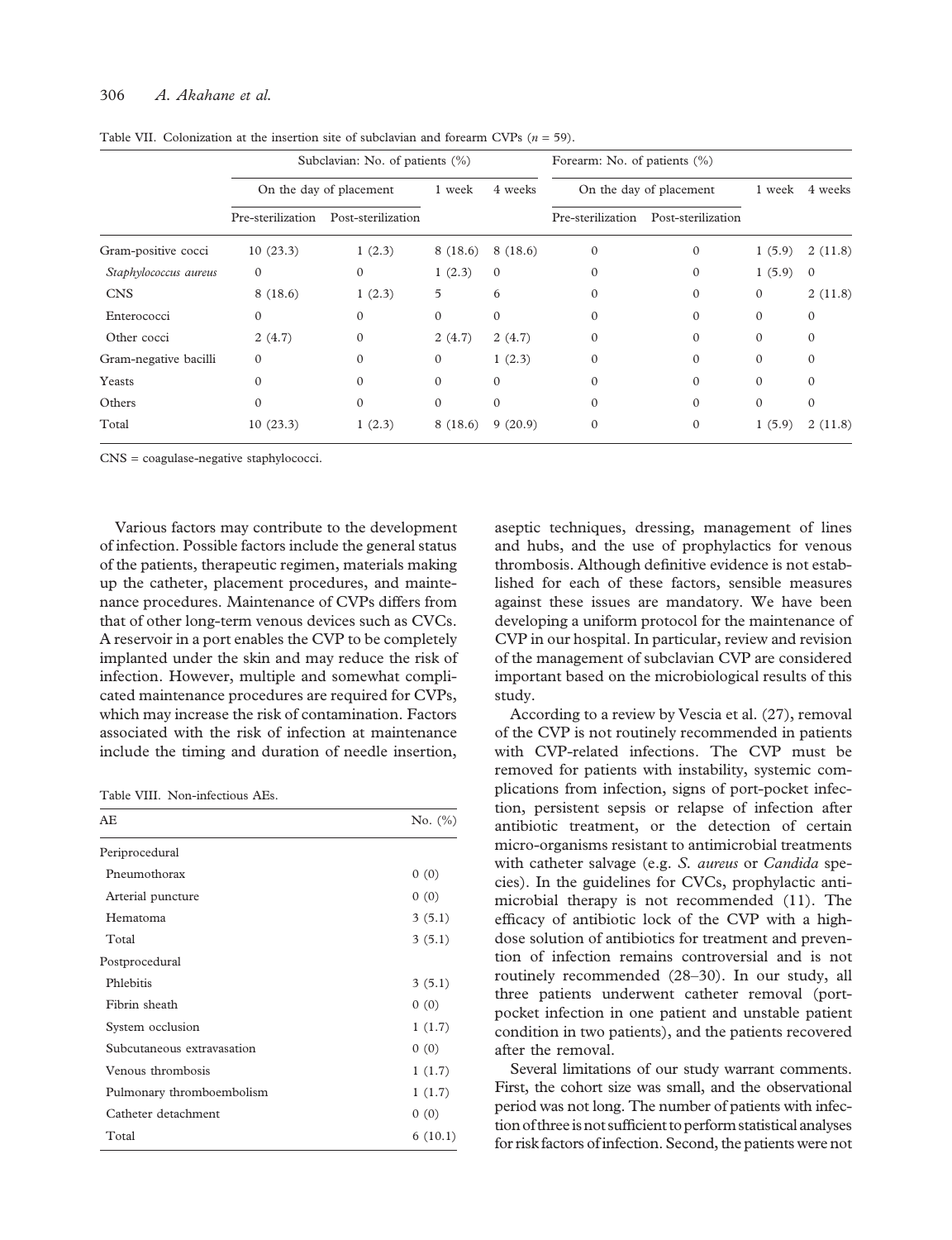# 306 A. Akahane et al.

|                       |                   | Subclavian: No. of patients (%) |              |              | Forearm: No. of patients (%) |                         |              |          |
|-----------------------|-------------------|---------------------------------|--------------|--------------|------------------------------|-------------------------|--------------|----------|
|                       |                   | On the day of placement         | 1 week       | 4 weeks      |                              | On the day of placement | 1 week       | 4 weeks  |
|                       | Pre-sterilization | Post-sterilization              |              |              | Pre-sterilization            | Post-sterilization      |              |          |
| Gram-positive cocci   | 10(23.3)          | 1(2.3)                          | 8(18.6)      | 8(18.6)      | $\Omega$                     | $\Omega$                | 1(5.9)       | 2(11.8)  |
| Staphylococcus aureus | $\Omega$          | $\Omega$                        | 1(2.3)       | $\mathbf{0}$ | 0                            | $\Omega$                | 1(5.9)       | $\Omega$ |
| <b>CNS</b>            | 8(18.6)           | 1(2.3)                          | 5            | 6            | $\Omega$                     | $\Omega$                | $\mathbf{0}$ | 2(11.8)  |
| Enterococci           | $\Omega$          | $\Omega$                        | $\Omega$     | $\mathbf{0}$ | 0                            | $\Omega$                | $\mathbf{0}$ | $\Omega$ |
| Other cocci           | 2(4.7)            | $\Omega$                        | 2(4.7)       | 2(4.7)       | 0                            | $\Omega$                | $\Omega$     | $\Omega$ |
| Gram-negative bacilli | $\Omega$          | 0                               | $\mathbf{0}$ | 1(2.3)       | 0                            | $\Omega$                | $\Omega$     | 0        |
| Yeasts                |                   | 0                               | $\Omega$     | $\Omega$     | 0                            | $\Omega$                | $\Omega$     | 0        |
| Others                |                   | $\Omega$                        | $\Omega$     | $\Omega$     |                              | $\Omega$                | $\Omega$     | $\Omega$ |
| Total                 | 10(23.3)          | 1(2.3)                          | 8(18.6)      | 9(20.9)      |                              | 0                       | 1(5.9)       | 2(11.8)  |

Table VII. Colonization at the insertion site of subclavian and forearm CVPs  $(n = 59)$ .

CNS = coagulase-negative staphylococci.

Various factors may contribute to the development of infection. Possible factors include the general status of the patients, therapeutic regimen, materials making up the catheter, placement procedures, and maintenance procedures. Maintenance of CVPs differs from that of other long-term venous devices such as CVCs. A reservoir in a port enables the CVP to be completely implanted under the skin and may reduce the risk of infection. However, multiple and somewhat complicated maintenance procedures are required for CVPs, which may increase the risk of contamination. Factors associated with the risk of infection at maintenance include the timing and duration of needle insertion,

Table VIII. Non-infectious AEs.

| AE                         | No. $(\% )$ |
|----------------------------|-------------|
| Periprocedural             |             |
| Pneumothorax               | 0(0)        |
| Arterial puncture          | 0(0)        |
| Hematoma                   | 3(5.1)      |
| Total                      | 3(5.1)      |
| Postprocedural             |             |
| Phlebitis                  | 3(5.1)      |
| Fibrin sheath              | 0(0)        |
| System occlusion           | 1(1.7)      |
| Subcutaneous extravasation | 0(0)        |
| Venous thrombosis          | 1(1.7)      |
| Pulmonary thromboembolism  | 1(1.7)      |
| Catheter detachment        | 0(0)        |
| Total                      | 6(10.1)     |

aseptic techniques, dressing, management of lines and hubs, and the use of prophylactics for venous thrombosis. Although definitive evidence is not established for each of these factors, sensible measures against these issues are mandatory. We have been developing a uniform protocol for the maintenance of CVP in our hospital. In particular, review and revision of the management of subclavian CVP are considered important based on the microbiological results of this study.

According to a review by Vescia et al. (27), removal of the CVP is not routinely recommended in patients with CVP-related infections. The CVP must be removed for patients with instability, systemic complications from infection, signs of port-pocket infection, persistent sepsis or relapse of infection after antibiotic treatment, or the detection of certain micro-organisms resistant to antimicrobial treatments with catheter salvage (e.g. S. aureus or Candida species). In the guidelines for CVCs, prophylactic antimicrobial therapy is not recommended (11). The efficacy of antibiotic lock of the CVP with a highdose solution of antibiotics for treatment and prevention of infection remains controversial and is not routinely recommended (28–30). In our study, all three patients underwent catheter removal (portpocket infection in one patient and unstable patient condition in two patients), and the patients recovered after the removal.

Several limitations of our study warrant comments. First, the cohort size was small, and the observational period was not long. The number of patients with infection of three is not sufficient to perform statistical analyses for risk factors of infection. Second, the patients were not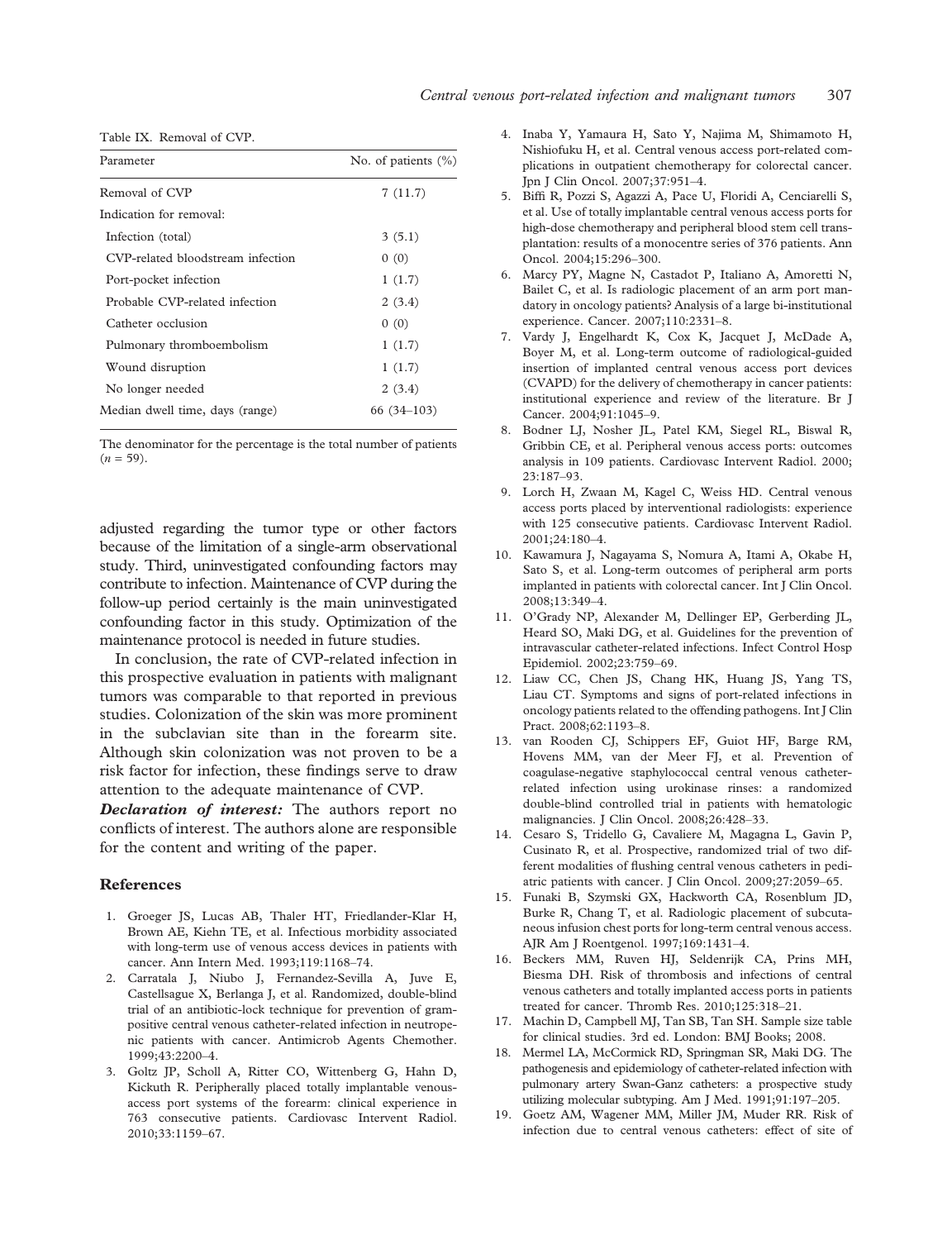Table IX. Removal of CVP.

| Parameter                         | No. of patients (%) |
|-----------------------------------|---------------------|
| Removal of CVP                    | 7(11.7)             |
| Indication for removal:           |                     |
| Infection (total)                 | 3(5.1)              |
| CVP-related bloodstream infection | 0(0)                |
| Port-pocket infection             | 1(1.7)              |
| Probable CVP-related infection    | 2(3.4)              |
| Catheter occlusion                | 0(0)                |
| Pulmonary thromboembolism         | 1(1.7)              |
| Wound disruption                  | 1(1.7)              |
| No longer needed                  | 2(3.4)              |
| Median dwell time, days (range)   | 66 (34–103)         |

The denominator for the percentage is the total number of patients  $(n = 59)$ .

adjusted regarding the tumor type or other factors because of the limitation of a single-arm observational study. Third, uninvestigated confounding factors may contribute to infection. Maintenance of CVP during the follow-up period certainly is the main uninvestigated confounding factor in this study. Optimization of the maintenance protocol is needed in future studies.

In conclusion, the rate of CVP-related infection in this prospective evaluation in patients with malignant tumors was comparable to that reported in previous studies. Colonization of the skin was more prominent in the subclavian site than in the forearm site. Although skin colonization was not proven to be a risk factor for infection, these findings serve to draw attention to the adequate maintenance of CVP.

Declaration of interest: The authors report no conflicts of interest. The authors alone are responsible for the content and writing of the paper.

#### References

- 1. Groeger JS, Lucas AB, Thaler HT, Friedlander-Klar H, Brown AE, Kiehn TE, et al. Infectious morbidity associated with long-term use of venous access devices in patients with cancer. Ann Intern Med. 1993;119:1168–74.
- 2. Carratala J, Niubo J, Fernandez-Sevilla A, Juve E, Castellsague X, Berlanga J, et al. Randomized, double-blind trial of an antibiotic-lock technique for prevention of grampositive central venous catheter-related infection in neutropenic patients with cancer. Antimicrob Agents Chemother. 1999;43:2200–4.
- 3. Goltz JP, Scholl A, Ritter CO, Wittenberg G, Hahn D, Kickuth R. Peripherally placed totally implantable venousaccess port systems of the forearm: clinical experience in 763 consecutive patients. Cardiovasc Intervent Radiol. 2010;33:1159–67.
- 4. Inaba Y, Yamaura H, Sato Y, Najima M, Shimamoto H, Nishiofuku H, et al. Central venous access port-related complications in outpatient chemotherapy for colorectal cancer. Jpn J Clin Oncol. 2007;37:951–4.
- 5. Biffi R, Pozzi S, Agazzi A, Pace U, Floridi A, Cenciarelli S, et al. Use of totally implantable central venous access ports for high-dose chemotherapy and peripheral blood stem cell transplantation: results of a monocentre series of 376 patients. Ann Oncol. 2004;15:296–300.
- 6. Marcy PY, Magne N, Castadot P, Italiano A, Amoretti N, Bailet C, et al. Is radiologic placement of an arm port mandatory in oncology patients? Analysis of a large bi-institutional experience. Cancer. 2007;110:2331–8.
- 7. Vardy J, Engelhardt K, Cox K, Jacquet J, McDade A, Boyer M, et al. Long-term outcome of radiological-guided insertion of implanted central venous access port devices (CVAPD) for the delivery of chemotherapy in cancer patients: institutional experience and review of the literature. Br J Cancer. 2004;91:1045–9.
- 8. Bodner LJ, Nosher JL, Patel KM, Siegel RL, Biswal R, Gribbin CE, et al. Peripheral venous access ports: outcomes analysis in 109 patients. Cardiovasc Intervent Radiol. 2000; 23:187–93.
- 9. Lorch H, Zwaan M, Kagel C, Weiss HD. Central venous access ports placed by interventional radiologists: experience with 125 consecutive patients. Cardiovasc Intervent Radiol. 2001;24:180–4.
- 10. Kawamura J, Nagayama S, Nomura A, Itami A, Okabe H, Sato S, et al. Long-term outcomes of peripheral arm ports implanted in patients with colorectal cancer. Int J Clin Oncol. 2008;13:349–4.
- 11. O'Grady NP, Alexander M, Dellinger EP, Gerberding JL, Heard SO, Maki DG, et al. Guidelines for the prevention of intravascular catheter-related infections. Infect Control Hosp Epidemiol. 2002;23:759–69.
- 12. Liaw CC, Chen JS, Chang HK, Huang JS, Yang TS, Liau CT. Symptoms and signs of port-related infections in oncology patients related to the offending pathogens. Int J Clin Pract. 2008;62:1193–8.
- 13. van Rooden CJ, Schippers EF, Guiot HF, Barge RM, Hovens MM, van der Meer FJ, et al. Prevention of coagulase-negative staphylococcal central venous catheterrelated infection using urokinase rinses: a randomized double-blind controlled trial in patients with hematologic malignancies. J Clin Oncol. 2008;26:428–33.
- 14. Cesaro S, Tridello G, Cavaliere M, Magagna L, Gavin P, Cusinato R, et al. Prospective, randomized trial of two different modalities of flushing central venous catheters in pediatric patients with cancer. J Clin Oncol. 2009;27:2059–65.
- 15. Funaki B, Szymski GX, Hackworth CA, Rosenblum JD, Burke R, Chang T, et al. Radiologic placement of subcutaneous infusion chest ports for long-term central venous access. AJR Am J Roentgenol. 1997;169:1431–4.
- 16. Beckers MM, Ruven HJ, Seldenrijk CA, Prins MH, Biesma DH. Risk of thrombosis and infections of central venous catheters and totally implanted access ports in patients treated for cancer. Thromb Res. 2010;125:318–21.
- 17. Machin D, Campbell MJ, Tan SB, Tan SH. Sample size table for clinical studies. 3rd ed. London: BMJ Books; 2008.
- 18. Mermel LA, McCormick RD, Springman SR, Maki DG. The pathogenesis and epidemiology of catheter-related infection with pulmonary artery Swan-Ganz catheters: a prospective study utilizing molecular subtyping. Am J Med. 1991;91:197–205.
- 19. Goetz AM, Wagener MM, Miller JM, Muder RR. Risk of infection due to central venous catheters: effect of site of